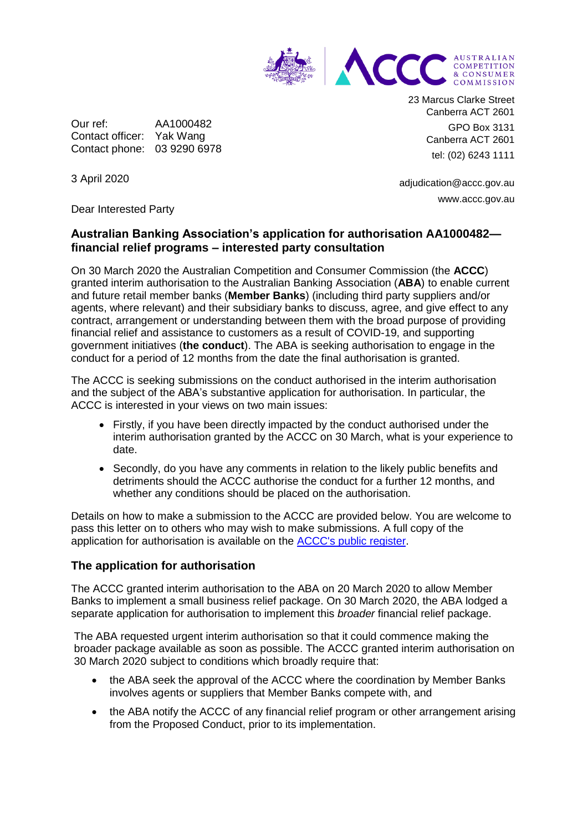

Our ref: AA1000482 Contact officer: Yak Wang Contact phone: 03 9290 6978 23 Marcus Clarke Street Canberra ACT 2601 GPO Box 3131 Canberra ACT 2601 tel: (02) 6243 1111

adjudication@accc.gov.au www.accc.gov.au

3 April 2020

Dear Interested Party

# **Australian Banking Association's application for authorisation AA1000482 financial relief programs – interested party consultation**

On 30 March 2020 the Australian Competition and Consumer Commission (the **ACCC**) granted interim authorisation to the Australian Banking Association (**ABA**) to enable current and future retail member banks (**Member Banks**) (including third party suppliers and/or agents, where relevant) and their subsidiary banks to discuss, agree, and give effect to any contract, arrangement or understanding between them with the broad purpose of providing financial relief and assistance to customers as a result of COVID-19, and supporting government initiatives (**the conduct**). The ABA is seeking authorisation to engage in the conduct for a period of 12 months from the date the final authorisation is granted.

The ACCC is seeking submissions on the conduct authorised in the interim authorisation and the subject of the ABA's substantive application for authorisation. In particular, the ACCC is interested in your views on two main issues:

- Firstly, if you have been directly impacted by the conduct authorised under the interim authorisation granted by the ACCC on 30 March, what is your experience to date.
- Secondly, do you have any comments in relation to the likely public benefits and detriments should the ACCC authorise the conduct for a further 12 months, and whether any conditions should be placed on the authorisation.

Details on how to make a submission to the ACCC are provided below. You are welcome to pass this letter on to others who may wish to make submissions. A full copy of the application for authorisation is available on the [ACCC's public register.](https://www.accc.gov.au/public-registers/authorisations-and-notifications-registers/authorisations-register/australian-banking-association-financial-relief-programs)

### **The application for authorisation**

The ACCC granted interim authorisation to the ABA on 20 March 2020 to allow Member Banks to implement a small business relief package. On 30 March 2020, the ABA lodged a separate application for authorisation to implement this *broader* financial relief package.

The ABA requested urgent interim authorisation so that it could commence making the broader package available as soon as possible. The ACCC granted interim authorisation on 30 March 2020 subject to conditions which broadly require that:

- the ABA seek the approval of the ACCC where the coordination by Member Banks involves agents or suppliers that Member Banks compete with, and
- the ABA notify the ACCC of any financial relief program or other arrangement arising from the Proposed Conduct, prior to its implementation.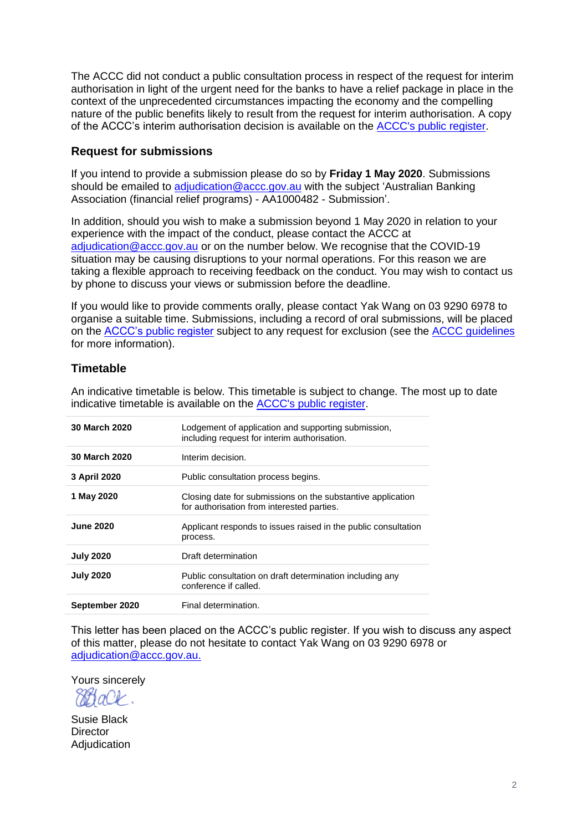The ACCC did not conduct a public consultation process in respect of the request for interim authorisation in light of the urgent need for the banks to have a relief package in place in the context of the unprecedented circumstances impacting the economy and the compelling nature of the public benefits likely to result from the request for interim authorisation. A copy of the ACCC's interim authorisation decision is available on the [ACCC's public register.](https://www.accc.gov.au/public-registers/authorisations-and-notifications-registers/authorisations-register/australian-banking-association-financial-relief-programs)

### **Request for submissions**

If you intend to provide a submission please do so by **Friday 1 May 2020**. Submissions should be emailed to adjudication @accc.gov.au with the subject 'Australian Banking Association (financial relief programs) - AA1000482 - Submission'.

In addition, should you wish to make a submission beyond 1 May 2020 in relation to your experience with the impact of the conduct, please contact the ACCC at [adjudication@accc.gov.au](mailto:adjudication@accc.gov.au) or on the number below. We recognise that the COVID-19 situation may be causing disruptions to your normal operations. For this reason we are taking a flexible approach to receiving feedback on the conduct. You may wish to contact us by phone to discuss your views or submission before the deadline.

If you would like to provide comments orally, please contact Yak Wang on 03 9290 6978 to organise a suitable time. Submissions, including a record of oral submissions, will be placed on the [ACCC's public register](https://www.accc.gov.au/public-registers/authorisations-and-notifications-registers/authorisations-register/australian-banking-association-and-notifications-registers/authorisations-register/erx-script-exchange-pty-ltd-authorisation-a91579) subject to any request for exclusion (see the [ACCC guidelines](https://www.accc.gov.au/publications/guidelines-for-authorisation-of-conduct-non-merger) for more information).

# **Timetable**

An indicative timetable is below. This timetable is subject to change. The most up to date indicative timetable is available on the [ACCC's public register.](https://www.accc.gov.au/public-registers/authorisations-and-notifications-registers/authorisations-register/australian-banking-association-financial-relief-programs)

| <b>30 March 2020</b> | Lodgement of application and supporting submission,<br>including request for interim authorisation.       |
|----------------------|-----------------------------------------------------------------------------------------------------------|
| <b>30 March 2020</b> | Interim decision.                                                                                         |
| 3 April 2020         | Public consultation process begins.                                                                       |
| 1 May 2020           | Closing date for submissions on the substantive application<br>for authorisation from interested parties. |
| <b>June 2020</b>     | Applicant responds to issues raised in the public consultation<br>process.                                |
| <b>July 2020</b>     | Draft determination                                                                                       |
| <b>July 2020</b>     | Public consultation on draft determination including any<br>conference if called.                         |
| September 2020       | Final determination.                                                                                      |

This letter has been placed on the ACCC's public register. If you wish to discuss any aspect of this matter, please do not hesitate to contact Yak Wang on 03 9290 6978 or [adjudication@accc.gov.au.](mailto:adjudication@accc.gov.au)

Yours sincerely

884 aO t

Susie Black **Director** Adjudication